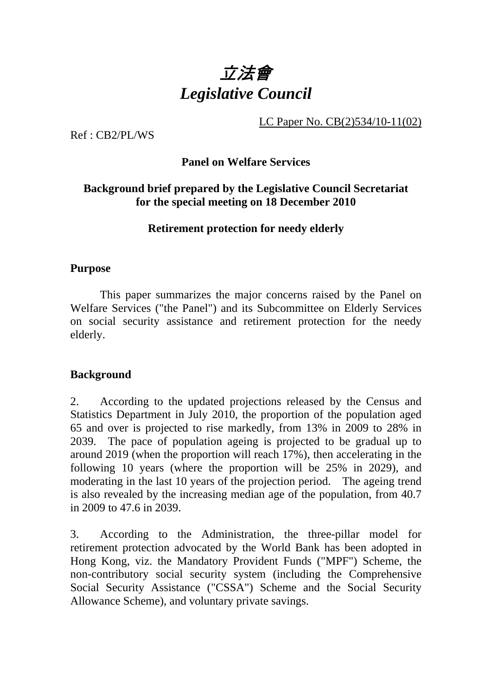

LC Paper No. CB(2)534/10-11(02)

Ref : CB2/PL/WS

#### **Panel on Welfare Services**

## **Background brief prepared by the Legislative Council Secretariat for the special meeting on 18 December 2010**

**Retirement protection for needy elderly** 

#### **Purpose**

. This paper summarizes the major concerns raised by the Panel on Welfare Services ("the Panel") and its Subcommittee on Elderly Services on social security assistance and retirement protection for the needy elderly.

## **Background**

2. According to the updated projections released by the Census and Statistics Department in July 2010, the proportion of the population aged 65 and over is projected to rise markedly, from 13% in 2009 to 28% in 2039. The pace of population ageing is projected to be gradual up to around 2019 (when the proportion will reach 17%), then accelerating in the following 10 years (where the proportion will be 25% in 2029), and moderating in the last 10 years of the projection period. The ageing trend is also revealed by the increasing median age of the population, from 40.7 in 2009 to 47.6 in 2039.

3. According to the Administration, the three-pillar model for retirement protection advocated by the World Bank has been adopted in Hong Kong, viz. the Mandatory Provident Funds ("MPF") Scheme, the non-contributory social security system (including the Comprehensive Social Security Assistance ("CSSA") Scheme and the Social Security Allowance Scheme), and voluntary private savings.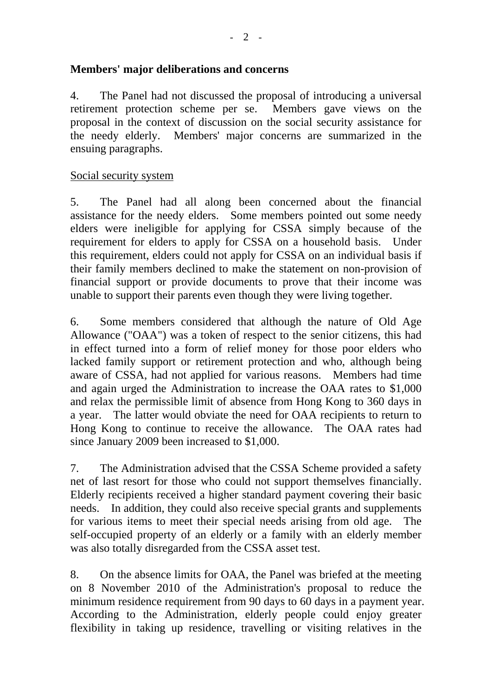## **Members' major deliberations and concerns**

4. The Panel had not discussed the proposal of introducing a universal retirement protection scheme per se. Members gave views on the proposal in the context of discussion on the social security assistance for the needy elderly. Members' major concerns are summarized in the ensuing paragraphs.

## Social security system

5. The Panel had all along been concerned about the financial assistance for the needy elders. Some members pointed out some needy elders were ineligible for applying for CSSA simply because of the requirement for elders to apply for CSSA on a household basis. Under this requirement, elders could not apply for CSSA on an individual basis if their family members declined to make the statement on non-provision of financial support or provide documents to prove that their income was unable to support their parents even though they were living together.

6. Some members considered that although the nature of Old Age Allowance ("OAA") was a token of respect to the senior citizens, this had in effect turned into a form of relief money for those poor elders who lacked family support or retirement protection and who, although being aware of CSSA, had not applied for various reasons. Members had time and again urged the Administration to increase the OAA rates to \$1,000 and relax the permissible limit of absence from Hong Kong to 360 days in a year. The latter would obviate the need for OAA recipients to return to Hong Kong to continue to receive the allowance. The OAA rates had since January 2009 been increased to \$1,000.

7. The Administration advised that the CSSA Scheme provided a safety net of last resort for those who could not support themselves financially. Elderly recipients received a higher standard payment covering their basic needs. In addition, they could also receive special grants and supplements for various items to meet their special needs arising from old age. The self-occupied property of an elderly or a family with an elderly member was also totally disregarded from the CSSA asset test.

8. On the absence limits for OAA, the Panel was briefed at the meeting on 8 November 2010 of the Administration's proposal to reduce the minimum residence requirement from 90 days to 60 days in a payment year. According to the Administration, elderly people could enjoy greater flexibility in taking up residence, travelling or visiting relatives in the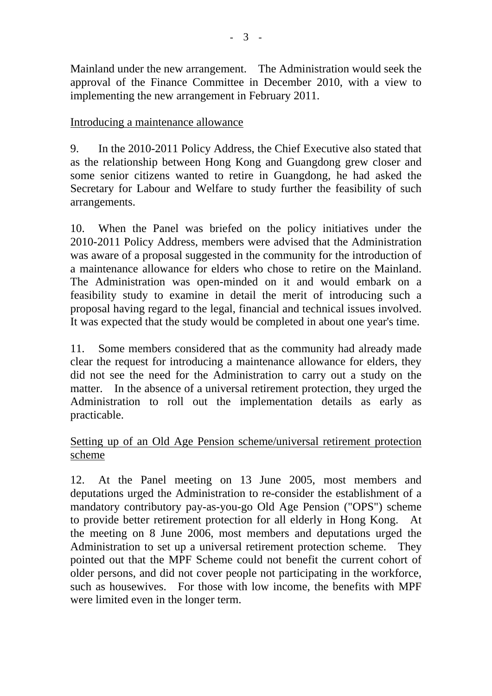Mainland under the new arrangement. The Administration would seek the approval of the Finance Committee in December 2010, with a view to implementing the new arrangement in February 2011.

## Introducing a maintenance allowance

9. In the 2010-2011 Policy Address, the Chief Executive also stated that as the relationship between Hong Kong and Guangdong grew closer and some senior citizens wanted to retire in Guangdong, he had asked the Secretary for Labour and Welfare to study further the feasibility of such arrangements.

10. When the Panel was briefed on the policy initiatives under the 2010-2011 Policy Address, members were advised that the Administration was aware of a proposal suggested in the community for the introduction of a maintenance allowance for elders who chose to retire on the Mainland. The Administration was open-minded on it and would embark on a feasibility study to examine in detail the merit of introducing such a proposal having regard to the legal, financial and technical issues involved. It was expected that the study would be completed in about one year's time.

11. Some members considered that as the community had already made clear the request for introducing a maintenance allowance for elders, they did not see the need for the Administration to carry out a study on the matter. In the absence of a universal retirement protection, they urged the Administration to roll out the implementation details as early as practicable.

## Setting up of an Old Age Pension scheme/universal retirement protection scheme

12. At the Panel meeting on 13 June 2005, most members and deputations urged the Administration to re-consider the establishment of a mandatory contributory pay-as-you-go Old Age Pension ("OPS") scheme to provide better retirement protection for all elderly in Hong Kong. At the meeting on 8 June 2006, most members and deputations urged the Administration to set up a universal retirement protection scheme. They pointed out that the MPF Scheme could not benefit the current cohort of older persons, and did not cover people not participating in the workforce, such as housewives. For those with low income, the benefits with MPF were limited even in the longer term.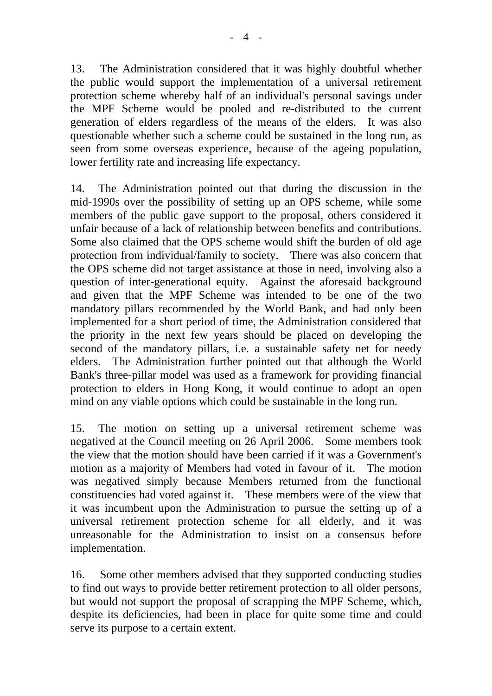13. The Administration considered that it was highly doubtful whether the public would support the implementation of a universal retirement protection scheme whereby half of an individual's personal savings under the MPF Scheme would be pooled and re-distributed to the current generation of elders regardless of the means of the elders. It was also questionable whether such a scheme could be sustained in the long run, as seen from some overseas experience, because of the ageing population, lower fertility rate and increasing life expectancy.

14. The Administration pointed out that during the discussion in the mid-1990s over the possibility of setting up an OPS scheme, while some members of the public gave support to the proposal, others considered it unfair because of a lack of relationship between benefits and contributions. Some also claimed that the OPS scheme would shift the burden of old age protection from individual/family to society. There was also concern that the OPS scheme did not target assistance at those in need, involving also a question of inter-generational equity. Against the aforesaid background and given that the MPF Scheme was intended to be one of the two mandatory pillars recommended by the World Bank, and had only been implemented for a short period of time, the Administration considered that the priority in the next few years should be placed on developing the second of the mandatory pillars, i.e. a sustainable safety net for needy elders. The Administration further pointed out that although the World Bank's three-pillar model was used as a framework for providing financial protection to elders in Hong Kong, it would continue to adopt an open mind on any viable options which could be sustainable in the long run.

15. The motion on setting up a universal retirement scheme was negatived at the Council meeting on 26 April 2006. Some members took the view that the motion should have been carried if it was a Government's motion as a majority of Members had voted in favour of it. The motion was negatived simply because Members returned from the functional constituencies had voted against it. These members were of the view that it was incumbent upon the Administration to pursue the setting up of a universal retirement protection scheme for all elderly, and it was unreasonable for the Administration to insist on a consensus before implementation.

16. Some other members advised that they supported conducting studies to find out ways to provide better retirement protection to all older persons, but would not support the proposal of scrapping the MPF Scheme, which, despite its deficiencies, had been in place for quite some time and could serve its purpose to a certain extent.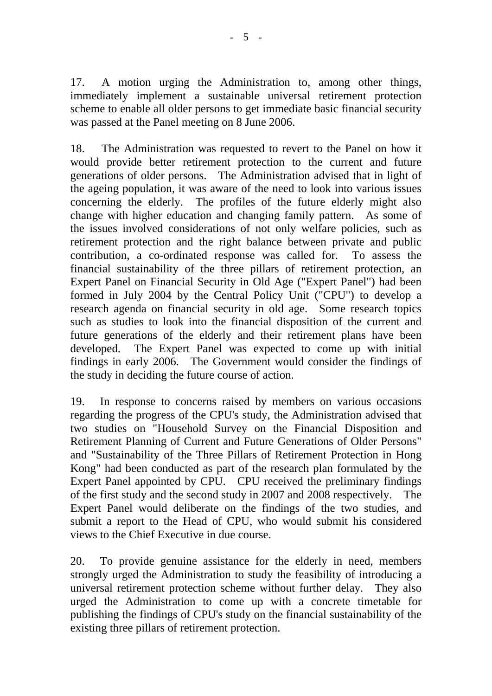17. A motion urging the Administration to, among other things, immediately implement a sustainable universal retirement protection scheme to enable all older persons to get immediate basic financial security was passed at the Panel meeting on 8 June 2006.

18. The Administration was requested to revert to the Panel on how it would provide better retirement protection to the current and future generations of older persons. The Administration advised that in light of the ageing population, it was aware of the need to look into various issues concerning the elderly. The profiles of the future elderly might also change with higher education and changing family pattern. As some of the issues involved considerations of not only welfare policies, such as retirement protection and the right balance between private and public contribution, a co-ordinated response was called for. To assess the financial sustainability of the three pillars of retirement protection, an Expert Panel on Financial Security in Old Age ("Expert Panel") had been formed in July 2004 by the Central Policy Unit ("CPU") to develop a research agenda on financial security in old age. Some research topics such as studies to look into the financial disposition of the current and future generations of the elderly and their retirement plans have been developed. The Expert Panel was expected to come up with initial findings in early 2006. The Government would consider the findings of the study in deciding the future course of action.

19. In response to concerns raised by members on various occasions regarding the progress of the CPU's study, the Administration advised that two studies on "Household Survey on the Financial Disposition and Retirement Planning of Current and Future Generations of Older Persons" and "Sustainability of the Three Pillars of Retirement Protection in Hong Kong" had been conducted as part of the research plan formulated by the Expert Panel appointed by CPU. CPU received the preliminary findings of the first study and the second study in 2007 and 2008 respectively. The Expert Panel would deliberate on the findings of the two studies, and submit a report to the Head of CPU, who would submit his considered views to the Chief Executive in due course.

20. To provide genuine assistance for the elderly in need, members strongly urged the Administration to study the feasibility of introducing a universal retirement protection scheme without further delay. They also urged the Administration to come up with a concrete timetable for publishing the findings of CPU's study on the financial sustainability of the existing three pillars of retirement protection.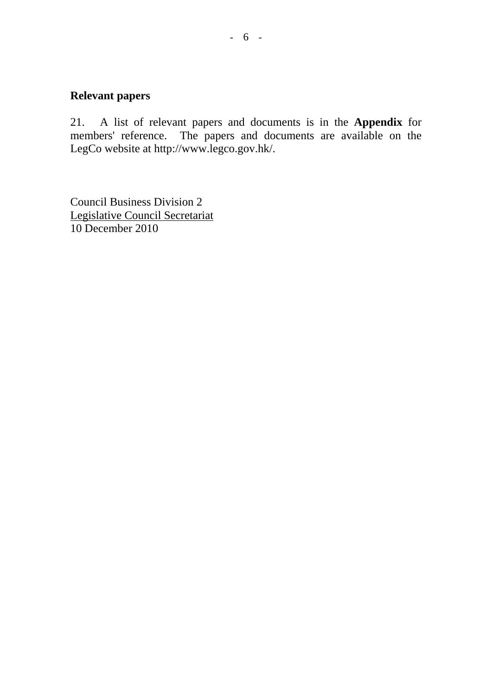## **Relevant papers**

21. A list of relevant papers and documents is in the **Appendix** for members' reference. The papers and documents are available on the LegCo website at http://www.legco.gov.hk/.

Council Business Division 2 Legislative Council Secretariat 10 December 2010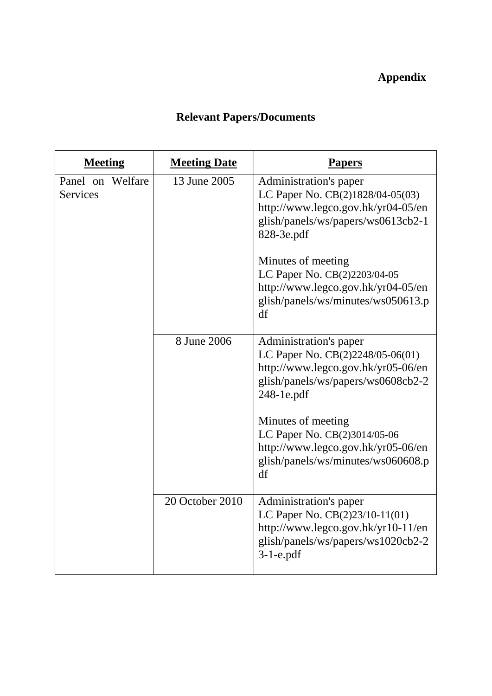## **Appendix**

# **Relevant Papers/Documents**

| <b>Meeting</b>                      | <b>Meeting Date</b> | <b>Papers</b>                                                                                                                                        |
|-------------------------------------|---------------------|------------------------------------------------------------------------------------------------------------------------------------------------------|
| Panel on Welfare<br><b>Services</b> | 13 June 2005        | Administration's paper<br>LC Paper No. CB(2)1828/04-05(03)<br>http://www.legco.gov.hk/yr04-05/en<br>glish/panels/ws/papers/ws0613cb2-1<br>828-3e.pdf |
|                                     |                     | Minutes of meeting<br>LC Paper No. CB(2)2203/04-05<br>http://www.legco.gov.hk/yr04-05/en<br>glish/panels/ws/minutes/ws050613.p<br>df                 |
|                                     | 8 June 2006         | Administration's paper<br>LC Paper No. CB(2)2248/05-06(01)<br>http://www.legco.gov.hk/yr05-06/en<br>glish/panels/ws/papers/ws0608cb2-2<br>248-1e.pdf |
|                                     |                     | Minutes of meeting<br>LC Paper No. CB(2)3014/05-06<br>http://www.legco.gov.hk/yr05-06/en<br>glish/panels/ws/minutes/ws060608.p<br>df                 |
|                                     | 20 October 2010     | Administration's paper<br>LC Paper No. CB(2)23/10-11(01)<br>http://www.legco.gov.hk/yr10-11/en<br>glish/panels/ws/papers/ws1020cb2-2<br>$3-1$ -e.pdf |